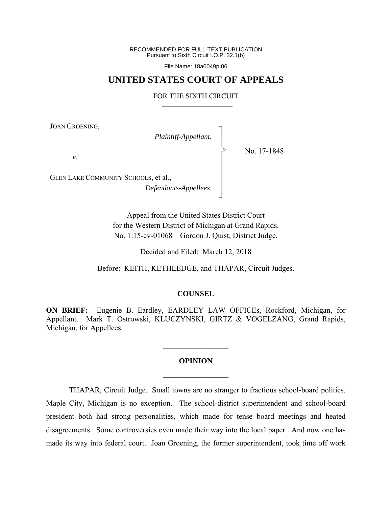RECOMMENDED FOR FULL-TEXT PUBLICATION Pursuant to Sixth Circuit I.O.P. 32.1(b)

File Name: 18a0049p.06

# **UNITED STATES COURT OF APPEALS**

### FOR THE SIXTH CIRCUIT

┐ │ │ │ │ │ │ │ ┘

>

JOAN GROENING,

*Plaintiff-Appellant*,

No. 17-1848

*v*.

GLEN LAKE COMMUNITY SCHOOLS, et al., *Defendants-Appellees*.

> Appeal from the United States District Court for the Western District of Michigan at Grand Rapids. No. 1:15-cv-01068—Gordon J. Quist, District Judge.

> > Decided and Filed: March 12, 2018

Before: KEITH, KETHLEDGE, and THAPAR, Circuit Judges.  $\frac{1}{2}$  ,  $\frac{1}{2}$  ,  $\frac{1}{2}$  ,  $\frac{1}{2}$  ,  $\frac{1}{2}$  ,  $\frac{1}{2}$  ,  $\frac{1}{2}$  ,  $\frac{1}{2}$ 

## **COUNSEL**

**ON BRIEF:** Eugenie B. Eardley, EARDLEY LAW OFFICEs, Rockford, Michigan, for Appellant. Mark T. Ostrowski, KLUCZYNSKI, GIRTZ & VOGELZANG, Grand Rapids, Michigan, for Appellees.

# **OPINION**   $\frac{1}{2}$

 $\frac{1}{2}$ 

 THAPAR, Circuit Judge. Small towns are no stranger to fractious school-board politics. Maple City, Michigan is no exception. The school-district superintendent and school-board president both had strong personalities, which made for tense board meetings and heated disagreements. Some controversies even made their way into the local paper. And now one has made its way into federal court. Joan Groening, the former superintendent, took time off work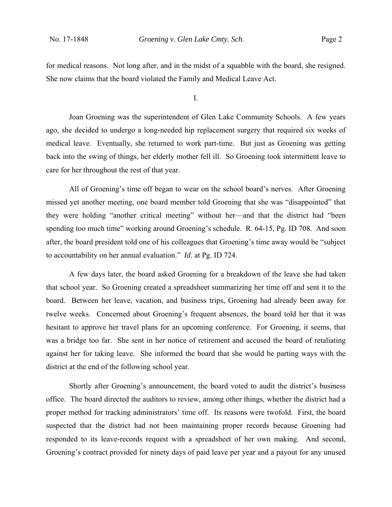for medical reasons. Not long after, and in the midst of a squabble with the board, she resigned. She now claims that the board violated the Family and Medical Leave Act.

I.

 Joan Groening was the superintendent of Glen Lake Community Schools. A few years ago, she decided to undergo a long-needed hip replacement surgery that required six weeks of medical leave. Eventually, she returned to work part-time. But just as Groening was getting back into the swing of things, her elderly mother fell ill. So Groening took intermittent leave to care for her throughout the rest of that year.

All of Groening's time off began to wear on the school board's nerves. After Groening missed yet another meeting, one board member told Groening that she was "disappointed" that they were holding "another critical meeting" without her—and that the district had "been spending too much time" working around Groening's schedule. R. 64-15, Pg. ID 708. And soon after, the board president told one of his colleagues that Groening's time away would be "subject to accountability on her annual evaluation." *Id*. at Pg. ID 724.

A few days later, the board asked Groening for a breakdown of the leave she had taken that school year. So Groening created a spreadsheet summarizing her time off and sent it to the board. Between her leave, vacation, and business trips, Groening had already been away for twelve weeks. Concerned about Groening's frequent absences, the board told her that it was hesitant to approve her travel plans for an upcoming conference. For Groening, it seems, that was a bridge too far. She sent in her notice of retirement and accused the board of retaliating against her for taking leave. She informed the board that she would be parting ways with the district at the end of the following school year.

Shortly after Groening's announcement, the board voted to audit the district's business office. The board directed the auditors to review, among other things, whether the district had a proper method for tracking administrators' time off. Its reasons were twofold. First, the board suspected that the district had not been maintaining proper records because Groening had responded to its leave-records request with a spreadsheet of her own making. And second, Groening's contract provided for ninety days of paid leave per year and a payout for any unused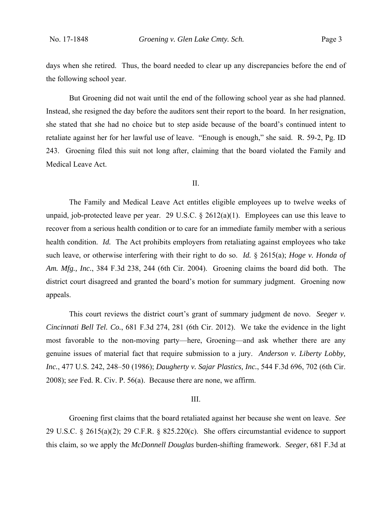days when she retired. Thus, the board needed to clear up any discrepancies before the end of the following school year.

But Groening did not wait until the end of the following school year as she had planned. Instead, she resigned the day before the auditors sent their report to the board. In her resignation, she stated that she had no choice but to step aside because of the board's continued intent to retaliate against her for her lawful use of leave. "Enough is enough," she said. R. 59-2, Pg. ID 243. Groening filed this suit not long after, claiming that the board violated the Family and Medical Leave Act.

## II.

The Family and Medical Leave Act entitles eligible employees up to twelve weeks of unpaid, job-protected leave per year. 29 U.S.C.  $\S$  2612(a)(1). Employees can use this leave to recover from a serious health condition or to care for an immediate family member with a serious health condition. *Id.* The Act prohibits employers from retaliating against employees who take such leave, or otherwise interfering with their right to do so. *Id.* § 2615(a); *Hoge v. Honda of Am. Mfg., Inc.*, 384 F.3d 238, 244 (6th Cir. 2004). Groening claims the board did both. The district court disagreed and granted the board's motion for summary judgment. Groening now appeals.

This court reviews the district court's grant of summary judgment de novo. *Seeger v. Cincinnati Bell Tel. Co.*, 681 F.3d 274, 281 (6th Cir. 2012). We take the evidence in the light most favorable to the non-moving party—here, Groening—and ask whether there are any genuine issues of material fact that require submission to a jury. *Anderson v. Liberty Lobby, Inc.*, 477 U.S. 242, 248–50 (1986); *Daugherty v. Sajar Plastics, Inc.*, 544 F.3d 696, 702 (6th Cir. 2008); *see* Fed. R. Civ. P. 56(a). Because there are none, we affirm.

### III.

Groening first claims that the board retaliated against her because she went on leave. *See*  29 U.S.C.  $\S$  2615(a)(2); 29 C.F.R.  $\S$  825.220(c). She offers circumstantial evidence to support this claim, so we apply the *McDonnell Douglas* burden-shifting framework. *Seeger*, 681 F.3d at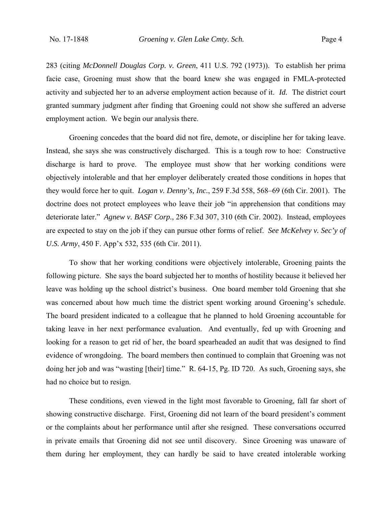283 (citing *McDonnell Douglas Corp. v. Green*, 411 U.S. 792 (1973)). To establish her prima facie case, Groening must show that the board knew she was engaged in FMLA-protected activity and subjected her to an adverse employment action because of it. *Id.* The district court granted summary judgment after finding that Groening could not show she suffered an adverse employment action. We begin our analysis there.

Groening concedes that the board did not fire, demote, or discipline her for taking leave. Instead, she says she was constructively discharged. This is a tough row to hoe: Constructive discharge is hard to prove. The employee must show that her working conditions were objectively intolerable and that her employer deliberately created those conditions in hopes that they would force her to quit. *Logan v. Denny's, Inc.*, 259 F.3d 558, 568–69 (6th Cir. 2001). The doctrine does not protect employees who leave their job "in apprehension that conditions may deteriorate later." *Agnew v. BASF Corp.*, 286 F.3d 307, 310 (6th Cir. 2002). Instead, employees are expected to stay on the job if they can pursue other forms of relief. *See McKelvey v. Sec'y of U.S. Army*, 450 F. App'x 532, 535 (6th Cir. 2011).

To show that her working conditions were objectively intolerable, Groening paints the following picture. She says the board subjected her to months of hostility because it believed her leave was holding up the school district's business. One board member told Groening that she was concerned about how much time the district spent working around Groening's schedule. The board president indicated to a colleague that he planned to hold Groening accountable for taking leave in her next performance evaluation. And eventually, fed up with Groening and looking for a reason to get rid of her, the board spearheaded an audit that was designed to find evidence of wrongdoing. The board members then continued to complain that Groening was not doing her job and was "wasting [their] time." R. 64-15, Pg. ID 720. As such, Groening says, she had no choice but to resign.

 These conditions, even viewed in the light most favorable to Groening, fall far short of showing constructive discharge. First, Groening did not learn of the board president's comment or the complaints about her performance until after she resigned. These conversations occurred in private emails that Groening did not see until discovery. Since Groening was unaware of them during her employment, they can hardly be said to have created intolerable working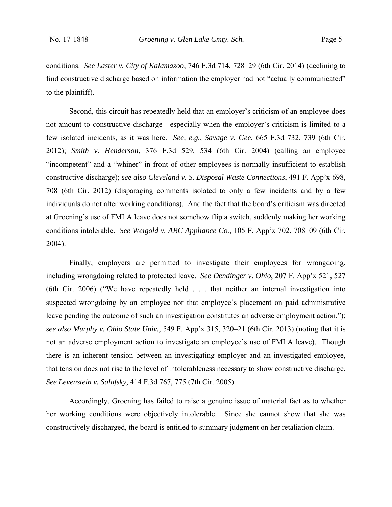conditions. *See Laster v. City of Kalamazoo*, 746 F.3d 714, 728–29 (6th Cir. 2014) (declining to find constructive discharge based on information the employer had not "actually communicated" to the plaintiff).

Second, this circuit has repeatedly held that an employer's criticism of an employee does not amount to constructive discharge—especially when the employer's criticism is limited to a few isolated incidents, as it was here. *See, e.g.*, *Savage v. Gee*, 665 F.3d 732, 739 (6th Cir. 2012); *Smith v. Henderson*, 376 F.3d 529, 534 (6th Cir. 2004) (calling an employee "incompetent" and a "whiner" in front of other employees is normally insufficient to establish constructive discharge); *see also Cleveland v. S. Disposal Waste Connections*, 491 F. App'x 698, 708 (6th Cir. 2012) (disparaging comments isolated to only a few incidents and by a few individuals do not alter working conditions). And the fact that the board's criticism was directed at Groening's use of FMLA leave does not somehow flip a switch, suddenly making her working conditions intolerable. *See Weigold v. ABC Appliance Co.*, 105 F. App'x 702, 708–09 (6th Cir. 2004).

 Finally, employers are permitted to investigate their employees for wrongdoing, including wrongdoing related to protected leave. *See Dendinger v. Ohio*, 207 F. App'x 521, 527 (6th Cir. 2006) ("We have repeatedly held . . . that neither an internal investigation into suspected wrongdoing by an employee nor that employee's placement on paid administrative leave pending the outcome of such an investigation constitutes an adverse employment action."); *see also Murphy v. Ohio State Univ.*, 549 F. App'x 315, 320–21 (6th Cir. 2013) (noting that it is not an adverse employment action to investigate an employee's use of FMLA leave). Though there is an inherent tension between an investigating employer and an investigated employee, that tension does not rise to the level of intolerableness necessary to show constructive discharge. *See Levenstein v. Salafsky*, 414 F.3d 767, 775 (7th Cir. 2005).

 Accordingly, Groening has failed to raise a genuine issue of material fact as to whether her working conditions were objectively intolerable. Since she cannot show that she was constructively discharged, the board is entitled to summary judgment on her retaliation claim.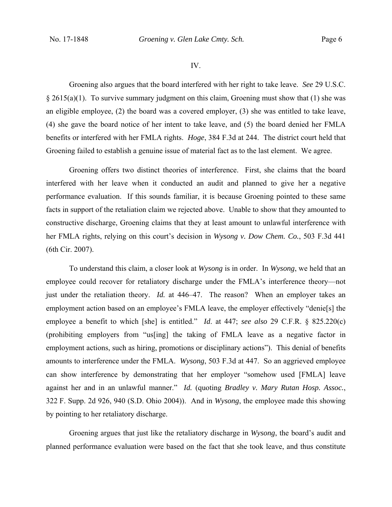#### IV.

 Groening also argues that the board interfered with her right to take leave. *See* 29 U.S.C.  $\S 2615(a)(1)$ . To survive summary judgment on this claim, Groening must show that (1) she was an eligible employee, (2) the board was a covered employer, (3) she was entitled to take leave, (4) she gave the board notice of her intent to take leave, and (5) the board denied her FMLA benefits or interfered with her FMLA rights. *Hoge*, 384 F.3d at 244. The district court held that Groening failed to establish a genuine issue of material fact as to the last element. We agree.

Groening offers two distinct theories of interference. First, she claims that the board interfered with her leave when it conducted an audit and planned to give her a negative performance evaluation. If this sounds familiar, it is because Groening pointed to these same facts in support of the retaliation claim we rejected above. Unable to show that they amounted to constructive discharge, Groening claims that they at least amount to unlawful interference with her FMLA rights, relying on this court's decision in *Wysong v. Dow Chem. Co.*, 503 F.3d 441 (6th Cir. 2007).

To understand this claim, a closer look at *Wysong* is in order. In *Wysong*, we held that an employee could recover for retaliatory discharge under the FMLA's interference theory—not just under the retaliation theory. *Id.* at 446–47. The reason? When an employer takes an employment action based on an employee's FMLA leave, the employer effectively "denie[s] the employee a benefit to which [she] is entitled." *Id*. at 447; *see also* 29 C.F.R. § 825.220(c) (prohibiting employers from "us[ing] the taking of FMLA leave as a negative factor in employment actions, such as hiring, promotions or disciplinary actions"). This denial of benefits amounts to interference under the FMLA. *Wysong*, 503 F.3d at 447. So an aggrieved employee can show interference by demonstrating that her employer "somehow used [FMLA] leave against her and in an unlawful manner." *Id.* (quoting *Bradley v. Mary Rutan Hosp. Assoc.*, 322 F. Supp. 2d 926, 940 (S.D. Ohio 2004)). And in *Wysong*, the employee made this showing by pointing to her retaliatory discharge.

Groening argues that just like the retaliatory discharge in *Wysong*, the board's audit and planned performance evaluation were based on the fact that she took leave, and thus constitute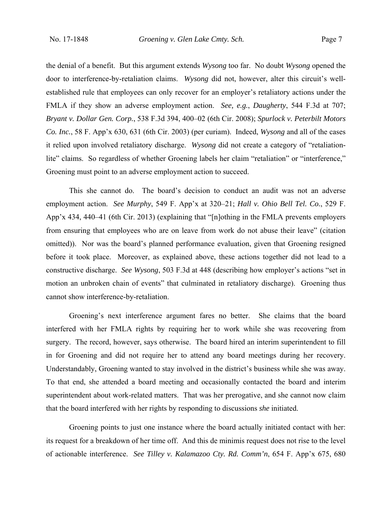the denial of a benefit. But this argument extends *Wysong* too far. No doubt *Wysong* opened the door to interference-by-retaliation claims. *Wysong* did not, however, alter this circuit's wellestablished rule that employees can only recover for an employer's retaliatory actions under the FMLA if they show an adverse employment action. *See, e.g.*, *Daugherty*, 544 F.3d at 707; *Bryant v. Dollar Gen. Corp.*, 538 F.3d 394, 400–02 (6th Cir. 2008); *Spurlock v. Peterbilt Motors Co. Inc.*, 58 F. App'x 630, 631 (6th Cir. 2003) (per curiam). Indeed, *Wysong* and all of the cases it relied upon involved retaliatory discharge. *Wysong* did not create a category of "retaliationlite" claims. So regardless of whether Groening labels her claim "retaliation" or "interference," Groening must point to an adverse employment action to succeed.

This she cannot do. The board's decision to conduct an audit was not an adverse employment action. *See Murphy*, 549 F. App'x at 320–21; *Hall v. Ohio Bell Tel. Co.*, 529 F. App'x 434, 440–41 (6th Cir. 2013) (explaining that "[n]othing in the FMLA prevents employers from ensuring that employees who are on leave from work do not abuse their leave" (citation omitted)). Nor was the board's planned performance evaluation, given that Groening resigned before it took place. Moreover, as explained above, these actions together did not lead to a constructive discharge. *See Wysong*, 503 F.3d at 448 (describing how employer's actions "set in motion an unbroken chain of events" that culminated in retaliatory discharge). Groening thus cannot show interference-by-retaliation.

Groening's next interference argument fares no better. She claims that the board interfered with her FMLA rights by requiring her to work while she was recovering from surgery. The record, however, says otherwise. The board hired an interim superintendent to fill in for Groening and did not require her to attend any board meetings during her recovery. Understandably, Groening wanted to stay involved in the district's business while she was away. To that end, she attended a board meeting and occasionally contacted the board and interim superintendent about work-related matters. That was her prerogative, and she cannot now claim that the board interfered with her rights by responding to discussions *she* initiated.

Groening points to just one instance where the board actually initiated contact with her: its request for a breakdown of her time off. And this de minimis request does not rise to the level of actionable interference. *See Tilley v. Kalamazoo Cty. Rd. Comm'n*, 654 F. App'x 675, 680